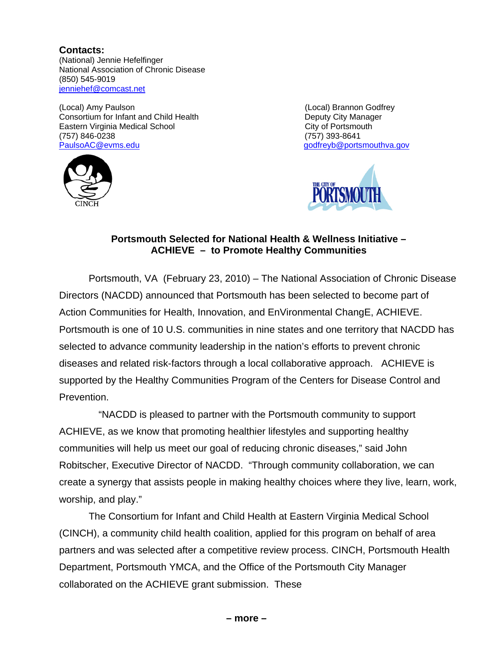**Contacts:** (National) Jennie Hefelfinger National Association of Chronic Disease (850) 545-9019 [jenniehef@comcast.net](mailto:jenniehef@comcast.net)

(Local) Amy Paulson (Local) Brannon Godfrey Consortium for Infant and Child Health **Deputy City Manager<br>
Eastern Virginia Medical School** City of Portsmouth Eastern Virginia Medical School (757) 846-0238 (757) 393-8641 [PaulsoAC@evms.edu](mailto:PaulsoAC@evms.edu) [godfreyb@portsmouthva.gov](mailto:godfreyb@portsmouthva.gov) 





## **Portsmouth Selected for National Health & Wellness Initiative – ACHIEVE – to Promote Healthy Communities**

Portsmouth, VA (February 23, 2010) *–* The National Association of Chronic Disease Directors (NACDD) announced that Portsmouth has been selected to become part of Action Communities for Health, Innovation, and EnVironmental ChangE, ACHIEVE. Portsmouth is one of 10 U.S. communities in nine states and one territory that NACDD has selected to advance community leadership in the nation's efforts to prevent chronic diseases and related risk-factors through a local collaborative approach. ACHIEVE is supported by the Healthy Communities Program of the Centers for Disease Control and Prevention.

"NACDD is pleased to partner with the Portsmouth community to support ACHIEVE, as we know that promoting healthier lifestyles and supporting healthy communities will help us meet our goal of reducing chronic diseases," said John Robitscher, Executive Director of NACDD. "Through community collaboration, we can create a synergy that assists people in making healthy choices where they live, learn, work, worship, and play."

The Consortium for Infant and Child Health at Eastern Virginia Medical School (CINCH), a community child health coalition, applied for this program on behalf of area partners and was selected after a competitive review process. CINCH, Portsmouth Health Department, Portsmouth YMCA, and the Office of the Portsmouth City Manager collaborated on the ACHIEVE grant submission. These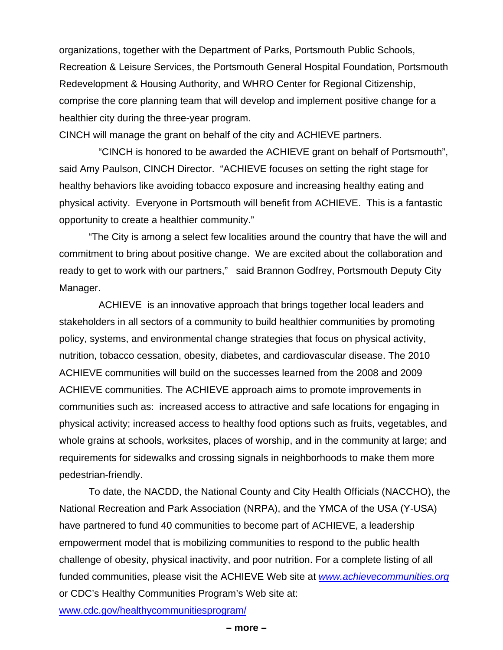organizations, together with the Department of Parks, Portsmouth Public Schools, Recreation & Leisure Services, the Portsmouth General Hospital Foundation, Portsmouth Redevelopment & Housing Authority, and WHRO Center for Regional Citizenship, comprise the core planning team that will develop and implement positive change for a healthier city during the three-year program.

CINCH will manage the grant on behalf of the city and ACHIEVE partners.

"CINCH is honored to be awarded the ACHIEVE grant on behalf of Portsmouth", said Amy Paulson, CINCH Director. "ACHIEVE focuses on setting the right stage for healthy behaviors like avoiding tobacco exposure and increasing healthy eating and physical activity. Everyone in Portsmouth will benefit from ACHIEVE. This is a fantastic opportunity to create a healthier community."

"The City is among a select few localities around the country that have the will and commitment to bring about positive change. We are excited about the collaboration and ready to get to work with our partners," said Brannon Godfrey, Portsmouth Deputy City Manager.

ACHIEVE is an innovative approach that brings together local leaders and stakeholders in all sectors of a community to build healthier communities by promoting policy, systems, and environmental change strategies that focus on physical activity, nutrition, tobacco cessation, obesity, diabetes, and cardiovascular disease. The 2010 ACHIEVE communities will build on the successes learned from the 2008 and 2009 ACHIEVE communities. The ACHIEVE approach aims to promote improvements in communities such as: increased access to attractive and safe locations for engaging in physical activity; increased access to healthy food options such as fruits, vegetables, and whole grains at schools, worksites, places of worship, and in the community at large; and requirements for sidewalks and crossing signals in neighborhoods to make them more pedestrian-friendly.

 To date, the NACDD, the National County and City Health Officials (NACCHO), the National Recreation and Park Association (NRPA), and the YMCA of the USA (Y-USA) have partnered to fund 40 communities to become part of ACHIEVE, a leadership empowerment model that is mobilizing communities to respond to the public health challenge of obesity, physical inactivity, and poor nutrition. For a complete listing of all funded communities, please visit the ACHIEVE Web site at *[www.achievecommunities.org](http://www.achievecommunities.org/)* or CDC's Healthy Communities Program's Web site at:

[www.cdc.gov/healthycommunitiesprogram/](http://www.cdc.gov/healthycommunitiesprogram/)